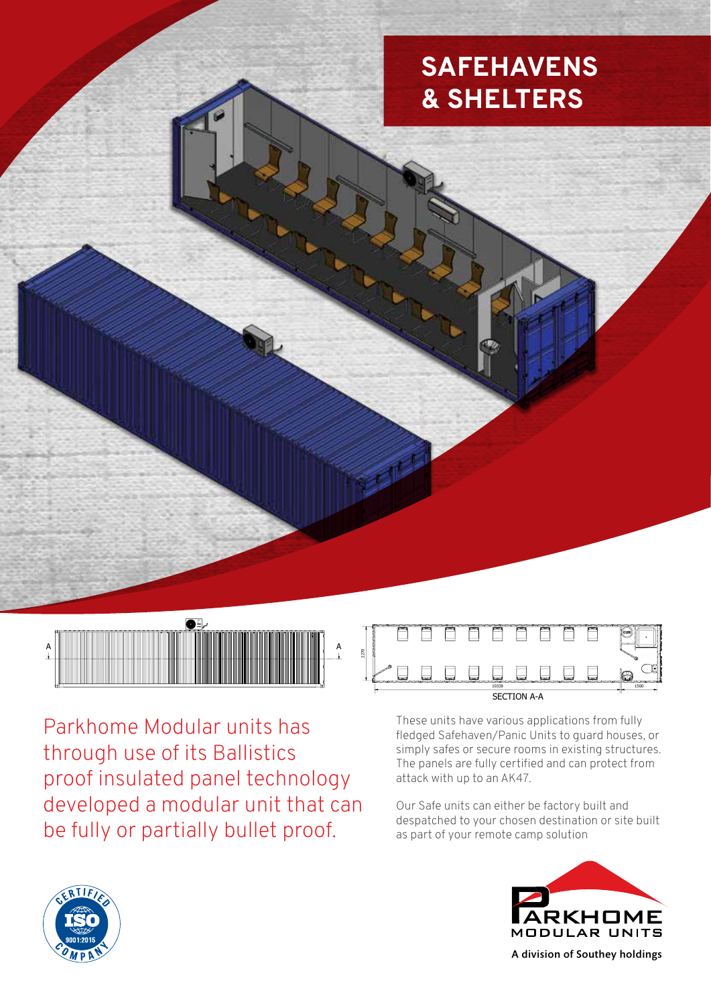# **SAFEHAVENS & SHELTERS**



SECTION A-A

10338 1500

Parkhome Modular units has through use of its Ballistics proof insulated panel technology developed a modular unit that can be fully or partially bullet proof.



These units have various applications from fully fledged Safehaven/Panic Units to guard houses, or simply safes or secure rooms in existing structures. The panels are fully certified and can protect from attack with up to an AK47.

Our Safe units can either be factory built and despatched to your chosen destination or site built as part of your remote camp solution





A division of Southey holdings